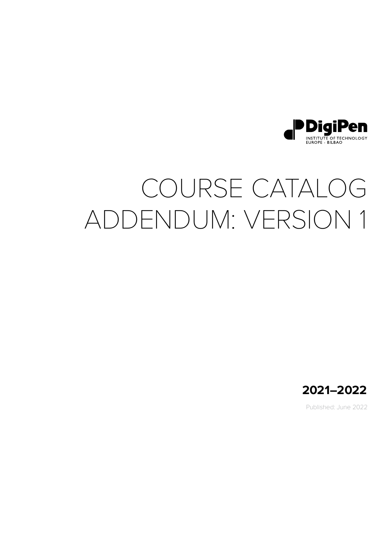

# COURSE CATALOG ADDENDUM: VERSION 1



Published: June 2022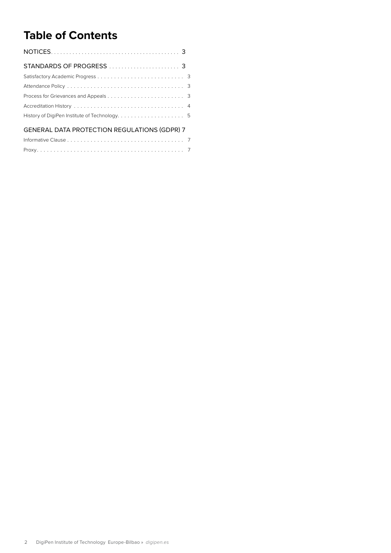# **Table of Contents**

| <b>GENERAL DATA PROTECTION REGULATIONS (GDPR) 7</b> |  |
|-----------------------------------------------------|--|
|                                                     |  |
|                                                     |  |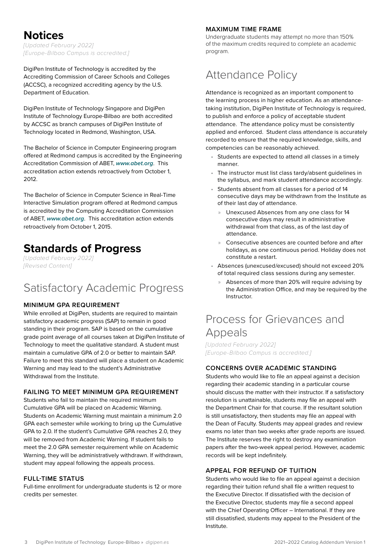### <span id="page-2-0"></span>**Notices**

*[Updated February 2022] [Europe-Bilbao Campus is accredited.]* 

DigiPen Institute of Technology is accredited by the Accrediting Commission of Career Schools and Colleges (ACCSC), a recognized accrediting agency by the U.S. Department of Education.

DigiPen Institute of Technology Singapore and DigiPen Institute of Technology Europe-Bilbao are both accredited by ACCSC as branch campuses of DigiPen Institute of Technology located in Redmond, Washington, USA.

The Bachelor of Science in Computer Engineering program offered at Redmond campus is accredited by the Engineering Accreditation Commission of ABET, *[www.abet.org](http://www.abet.org)*. This accreditation action extends retroactively from October 1, 2012.

The Bachelor of Science in Computer Science in Real-Time Interactive Simulation program offered at Redmond campus is accredited by the Computing Accreditation Commission of ABET, *[www.abet.org](http://www.abet.org)*. This accreditation action extends retroactively from October 1, 2015.

### **Standards of Progress**

*[Updated February 2022] [Revised Content]*

# Satisfactory Academic Progress

#### **MINIMUM GPA REQUIREMENT**

While enrolled at DigiPen, students are required to maintain satisfactory academic progress (SAP) to remain in good standing in their program. SAP is based on the cumulative grade point average of all courses taken at DigiPen Institute of Technology to meet the qualitative standard. A student must maintain a cumulative GPA of 2.0 or better to maintain SAP. Failure to meet this standard will place a student on Academic Warning and may lead to the student's Administrative Withdrawal from the Institute.

#### **FAILING TO MEET MINIMUM GPA REQUIREMENT**

Students who fail to maintain the required minimum Cumulative GPA will be placed on Academic Warning. Students on Academic Warning must maintain a minimum 2.0 GPA each semester while working to bring up the Cumulative GPA to 2.0. If the student's Cumulative GPA reaches 2.0, they will be removed from Academic Warning. If student fails to meet the 2.0 GPA semester requirement while on Academic Warning, they will be administratively withdrawn. If withdrawn, student may appeal following the appeals process.

#### **FULL-TIME STATUS**

Full-time enrollment for undergraduate students is 12 or more credits per semester.

#### **MAXIMUM TIME FRAME**

Undergraduate students may attempt no more than 150% of the maximum credits required to complete an academic program.

# Attendance Policy

Attendance is recognized as an important component to the learning process in higher education. As an attendancetaking institution, DigiPen Institute of Technology is required, to publish and enforce a policy of acceptable student attendance. The attendance policy must be consistently applied and enforced. Student class attendance is accurately recorded to ensure that the required knowledge, skills, and competencies can be reasonably achieved.

- Students are expected to attend all classes in a timely manner.
- The instructor must list class tardy/absent guidelines in the syllabus, and mark student attendance accordingly.
- Students absent from all classes for a period of 14 consecutive days may be withdrawn from the Institute as of their last day of attendance.
	- » Unexcused Absences from any one class for 14 consecutive days may result in administrative withdrawal from that class, as of the last day of attendance.
	- » Consecutive absences are counted before and after holidays, as one continuous period. Holiday does not constitute a restart.
- Absences (unexcused/excused) should not exceed 20% of total required class sessions during any semester.
	- » Absences of more than 20% will require advising by the Administration Office, and may be required by the Instructor.

# Process for Grievances and Appeals

*[Updated February 2022] [Europe-Bilbao Campus is accredited.]*

#### **CONCERNS OVER ACADEMIC STANDING**

Students who would like to file an appeal against a decision regarding their academic standing in a particular course should discuss the matter with their instructor. If a satisfactory resolution is unattainable, students may file an appeal with the Department Chair for that course. If the resultant solution is still unsatisfactory, then students may file an appeal with the Dean of Faculty. Students may appeal grades and review exams no later than two weeks after grade reports are issued. The Institute reserves the right to destroy any examination papers after the two-week appeal period. However, academic records will be kept indefinitely.

#### **APPEAL FOR REFUND OF TUITION**

Students who would like to file an appeal against a decision regarding their tuition refund shall file a written request to the Executive Director. If dissatisfied with the decision of the Executive Director, students may file a second appeal with the Chief Operating Officer – International. If they are still dissatisfied, students may appeal to the President of the Institute.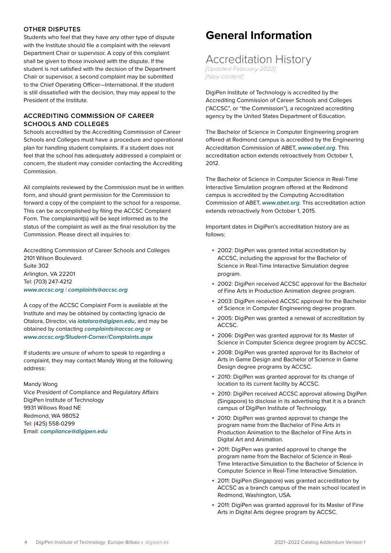#### <span id="page-3-0"></span>**OTHER DISPUTES**

Students who feel that they have any other type of dispute with the Institute should file a complaint with the relevant Department Chair or supervisor. A copy of this complaint shall be given to those involved with the dispute. If the student is not satisfied with the decision of the Department Chair or supervisor, a second complaint may be submitted to the Chief Operating Officer—International. If the student is still dissatisfied with the decision, they may appeal to the President of the Institute.

#### **ACCREDITING COMMISSION OF CAREER SCHOOLS AND COLLEGES**

Schools accredited by the Accrediting Commission of Career Schools and Colleges must have a procedure and operational plan for handling student complaints. If a student does not feel that the school has adequately addressed a complaint or concern, the student may consider contacting the Accrediting **Commission** 

All complaints reviewed by the Commission must be in written form, and should grant permission for the Commission to forward a copy of the complaint to the school for a response. This can be accomplished by filing the ACCSC Complaint Form. The complainant(s) will be kept informed as to the status of the complaint as well as the final resolution by the Commission. Please direct all inquiries to:

Accrediting Commission of Career Schools and Colleges 2101 Wilson Boulevard. Suite 302 Arlington, VA 22201 Tel: (703) 247-4212 *[www.accsc.org](http://www.accsc.org)* | *[complaints@accsc.org](mailto:complaints%40accsc.org?subject=)*

A copy of the ACCSC Complaint Form is available at the Institute and may be obtained by contacting Ignacio de Otalora, Director, via *[iotalora@digipen.edu](mailto:%20iotalora%40digipen.edu?subject=)*, and may be obtained by contacting *[complaints@accsc.org](mailto:complaints%40accsc.org?subject=)* or *[www.accsc.org](https://www.accsc.org/Student-Corner/Complaints.aspx)/Student-Corner/Complaints.aspx*

If students are unsure of whom to speak to regarding a complaint, they may contact Mandy Wong at the following address:

#### Mandy Wong

Vice President of Compliance and Regulatory Affairs DigiPen Institute of Technology 9931 Willows Road NE Redmond, WA 98052 Tel: (425) 558-0299 Email: *[compliance@digipen.edu](mailto:compliance%40digipen.edu%20?subject=)*

## **General Information**

### Accreditation History

*[Updated February 2022] [New content]*

DigiPen Institute of Technology is accredited by the Accrediting Commission of Career Schools and Colleges ("ACCSC", or "the Commission"), a recognized accrediting agency by the United States Department of Education.

The Bachelor of Science in Computer Engineering program offered at Redmond campus is accredited by the Engineering Accreditation Commission of ABET, *[www.abet.org](http://www.abet.org)*. This accreditation action extends retroactively from October 1, 2012.

The Bachelor of Science in Computer Science in Real-Time Interactive Simulation program offered at the Redmond campus is accredited by the Computing Accreditation Commission of ABET, *[www.abet.org](http://www.abet.org)*. This accreditation action extends retroactively from October 1, 2015.

Important dates in DigiPen's accreditation history are as follows:

- 2002: DigiPen was granted initial accreditation by ACCSC, including the approval for the Bachelor of Science in Real-Time Interactive Simulation degree program.
- 2002: DigiPen received ACCSC approval for the Bachelor of Fine Arts in Production Animation degree program.
- 2003: DigiPen received ACCSC approval for the Bachelor of Science in Computer Engineering degree program.
- 2005: DigiPen was granted a renewal of accreditation by ACCSC.
- 2006: DigiPen was granted approval for its Master of Science in Computer Science degree program by ACCSC.
- 2008: DigiPen was granted approval for its Bachelor of Arts in Game Design and Bachelor of Science in Game Design degree programs by ACCSC.
- 2010: DigiPen was granted approval for its change of location to its current facility by ACCSC.
- 2010: DigiPen received ACCSC approval allowing DigiPen (Singapore) to disclose in its advertising that it is a branch campus of DigiPen Institute of Technology.
- 2010: DigiPen was granted approval to change the program name from the Bachelor of Fine Arts in Production Animation to the Bachelor of Fine Arts in Digital Art and Animation.
- 2011: DigiPen was granted approval to change the program name from the Bachelor of Science in Real-Time Interactive Simulation to the Bachelor of Science in Computer Science in Real-Time Interactive Simulation.
- 2011: DigiPen (Singapore) was granted accreditation by ACCSC as a branch campus of the main school located in Redmond, Washington, USA.
- 2011: DigiPen was granted approval for its Master of Fine Arts in Digital Arts degree program by ACCSC.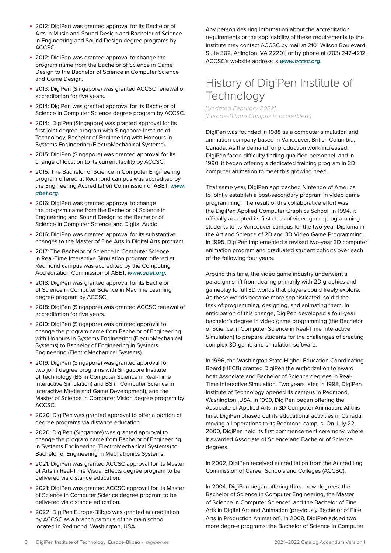- <span id="page-4-0"></span>• 2012: DigiPen was granted approval for its Bachelor of Arts in Music and Sound Design and Bachelor of Science in Engineering and Sound Design degree programs by ACCSC.
- 2012: DigiPen was granted approval to change the program name from the Bachelor of Science in Game Design to the Bachelor of Science in Computer Science and Game Design.
- 2013: DigiPen (Singapore) was granted ACCSC renewal of accreditation for five years.
- 2014: DigiPen was granted approval for its Bachelor of Science in Computer Science degree program by ACCSC.
- 2014: DigiPen (Singapore) was granted approval for its first joint degree program with Singapore Institute of Technology, Bachelor of Engineering with Honours in Systems Engineering (ElectroMechanical Systems).
- 2015: DigiPen (Singapore) was granted approval for its change of location to its current facility by ACCSC.
- 2015: The Bachelor of Science in Computer Engineering program offered at Redmond campus was accredited by the Engineering Accreditation Commission of ABET, *[www.](http://www.abet.org) [abet.org](http://www.abet.org)*.
- 2016: DigiPen was granted approval to change the program name from the Bachelor of Science in Engineering and Sound Design to the Bachelor of Science in Computer Science and Digital Audio.
- 2016: DigiPen was granted approval for its substantive changes to the Master of Fine Arts in Digital Arts program.
- 2017: The Bachelor of Science in Computer Science in Real-Time Interactive Simulation program offered at Redmond campus was accredited by the Computing Accreditation Commission of ABET, *[www.abet.org](http://www.abet.org)*.
- 2018: DigiPen was granted approval for its Bachelor of Science in Computer Science in Machine Learning degree program by ACCSC.
- 2018: DigiPen (Singapore) was granted ACCSC renewal of accreditation for five years.
- 2019: DigiPen (Singapore) was granted approval to change the program name from Bachelor of Engineering with Honours in Systems Engineering (ElectroMechanical Systems) to Bachelor of Engineering in Systems Engineering (ElectroMechanical Systems).
- 2019: DigiPen (Singapore) was granted approval for two joint degree programs with Singapore Institute of Technology (BS in Computer Science in Real-Time Interactive Simulation) and BS in Computer Science in Interactive Media and Game Development), and the Master of Science in Computer Vision degree program by ACCSC.
- 2020: DigiPen was granted approval to offer a portion of degree programs via distance education.
- 2020: DigiPen (Singapore) was granted approval to change the program name from Bachelor of Engineering in Systems Engineering (ElectroMechanical Systems) to Bachelor of Engineering in Mechatronics Systems.
- 2021: DigiPen was granted ACCSC approval for its Master of Arts in Real-Time Visual Effects degree program to be delivered via distance education.
- 2021: DigiPen was granted ACCSC approval for its Master of Science in Computer Science degree program to be delivered via distance education.
- 2022: DigiPen Europe-Bilbao was granted accreditation by ACCSC as a branch campus of the main school located in Redmond, Washington, USA.

Any person desiring information about the accreditation requirements or the applicability of these requirements to the Institute may contact ACCSC by mail at 2101 Wilson Boulevard, Suite 302, Arlington, VA 22201, or by phone at (703) 247-4212. ACCSC's website address is *[www.accsc.org](http://www.accsc.org)*.

# History of DigiPen Institute of **Technology**

*[Updated February 2022] [Europe-Bilbao Campus is accredited.]*

DigiPen was founded in 1988 as a computer simulation and animation company based in Vancouver, British Columbia, Canada. As the demand for production work increased, DigiPen faced difficulty finding qualified personnel, and in 1990, it began offering a dedicated training program in 3D computer animation to meet this growing need.

That same year, DigiPen approached Nintendo of America to jointly establish a post-secondary program in video game programming. The result of this collaborative effort was the DigiPen Applied Computer Graphics School. In 1994, it officially accepted its first class of video game programming students to its Vancouver campus for the two-year Diploma in the Art and Science of 2D and 3D Video Game Programming. In 1995, DigiPen implemented a revised two-year 3D computer animation program and graduated student cohorts over each of the following four years.

Around this time, the video game industry underwent a paradigm shift from dealing primarily with 2D graphics and gameplay to full 3D worlds that players could freely explore. As these worlds became more sophisticated, so did the task of programming, designing, and animating them. In anticipation of this change, DigiPen developed a four-year bachelor's degree in video game programming (the Bachelor of Science in Computer Science in Real-Time Interactive Simulation) to prepare students for the challenges of creating complex 3D game and simulation software.

In 1996, the Washington State Higher Education Coordinating Board (HECB) granted DigiPen the authorization to award both Associate and Bachelor of Science degrees in Real-Time Interactive Simulation. Two years later, in 1998, DigiPen Institute of Technology opened its campus in Redmond, Washington, USA. In 1999, DigiPen began offering the Associate of Applied Arts in 3D Computer Animation. At this time, DigiPen phased out its educational activities in Canada, moving all operations to its Redmond campus. On July 22, 2000, DigiPen held its first commencement ceremony, where it awarded Associate of Science and Bachelor of Science degrees.

In 2002, DigiPen received accreditation from the Accrediting Commission of Career Schools and Colleges (ACCSC).

In 2004, DigiPen began offering three new degrees: the Bachelor of Science in Computer Engineering, the Master of Science in Computer Science\*, and the Bachelor of Fine Arts in Digital Art and Animation (previously Bachelor of Fine Arts in Production Animation). In 2008, DigiPen added two more degree programs: the Bachelor of Science in Computer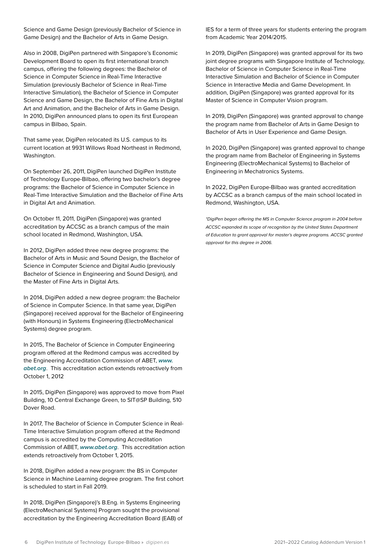Science and Game Design (previously Bachelor of Science in Game Design) and the Bachelor of Arts in Game Design.

Also in 2008, DigiPen partnered with Singapore's Economic Development Board to open its first international branch campus, offering the following degrees: the Bachelor of Science in Computer Science in Real-Time Interactive Simulation (previously Bachelor of Science in Real-Time Interactive Simulation), the Bachelor of Science in Computer Science and Game Design, the Bachelor of Fine Arts in Digital Art and Animation, and the Bachelor of Arts in Game Design. In 2010, DigiPen announced plans to open its first European campus in Bilbao, Spain.

That same year, DigiPen relocated its U.S. campus to its current location at 9931 Willows Road Northeast in Redmond, Washington.

On September 26, 2011, DigiPen launched DigiPen Institute of Technology Europe-Bilbao, offering two bachelor's degree programs: the Bachelor of Science in Computer Science in Real-Time Interactive Simulation and the Bachelor of Fine Arts in Digital Art and Animation.

On October 11, 2011, DigiPen (Singapore) was granted accreditation by ACCSC as a branch campus of the main school located in Redmond, Washington, USA.

In 2012, DigiPen added three new degree programs: the Bachelor of Arts in Music and Sound Design, the Bachelor of Science in Computer Science and Digital Audio (previously Bachelor of Science in Engineering and Sound Design), and the Master of Fine Arts in Digital Arts.

In 2014, DigiPen added a new degree program: the Bachelor of Science in Computer Science. In that same year, DigiPen (Singapore) received approval for the Bachelor of Engineering (with Honours) in Systems Engineering (ElectroMechanical Systems) degree program.

In 2015, The Bachelor of Science in Computer Engineering program offered at the Redmond campus was accredited by the Engineering Accreditation Commission of ABET, *[www.](http://www.abet.org) [abet.org](http://www.abet.org)*. This accreditation action extends retroactively from October 1, 2012

In 2015, DigiPen (Singapore) was approved to move from Pixel Building, 10 Central Exchange Green, to SIT@SP Building, 510 Dover Road.

In 2017, The Bachelor of Science in Computer Science in Real-Time Interactive Simulation program offered at the Redmond campus is accredited by the Computing Accreditation Commission of ABET, *[www.abet.org](http://www.abet.org)*. This accreditation action extends retroactively from October 1, 2015.

In 2018, DigiPen added a new program: the BS in Computer Science in Machine Learning degree program. The first cohort is scheduled to start in Fall 2019.

In 2018, DigiPen (Singapore)'s B.Eng. in Systems Engineering (ElectroMechanical Systems) Program sought the provisional accreditation by the Engineering Accreditation Board (EAB) of

IES for a term of three years for students entering the program from Academic Year 2014/2015.

In 2019, DigiPen (Singapore) was granted approval for its two joint degree programs with Singapore Institute of Technology, Bachelor of Science in Computer Science in Real-Time Interactive Simulation and Bachelor of Science in Computer Science in Interactive Media and Game Development. In addition, DigiPen (Singapore) was granted approval for its Master of Science in Computer Vision program.

In 2019, DigiPen (Singapore) was granted approval to change the program name from Bachelor of Arts in Game Design to Bachelor of Arts in User Experience and Game Design.

In 2020, DigiPen (Singapore) was granted approval to change the program name from Bachelor of Engineering in Systems Engineering (ElectroMechanical Systems) to Bachelor of Engineering in Mechatronics Systems.

In 2022, DigiPen Europe-Bilbao was granted accreditation by ACCSC as a branch campus of the main school located in Redmond, Washington, USA.

*\*DigiPen began offering the MS in Computer Science program in 2004 before ACCSC expanded its scope of recognition by the United States Department of Education to grant approval for master's degree programs. ACCSC granted approval for this degree in 2006.*